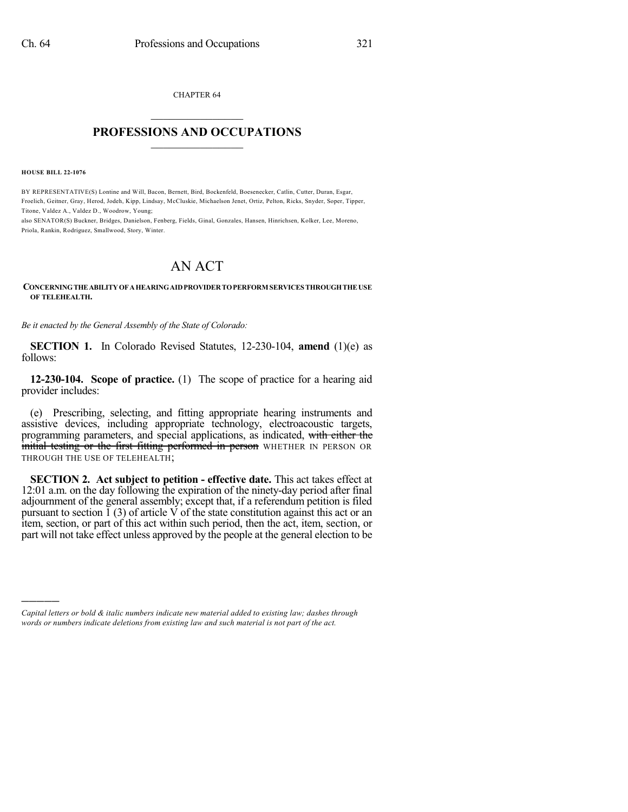CHAPTER 64  $\overline{\phantom{a}}$  . The set of the set of the set of the set of the set of the set of the set of the set of the set of the set of the set of the set of the set of the set of the set of the set of the set of the set of the set o

## **PROFESSIONS AND OCCUPATIONS**  $\frac{1}{2}$  ,  $\frac{1}{2}$  ,  $\frac{1}{2}$  ,  $\frac{1}{2}$  ,  $\frac{1}{2}$  ,  $\frac{1}{2}$  ,  $\frac{1}{2}$

**HOUSE BILL 22-1076**

)))))

BY REPRESENTATIVE(S) Lontine and Will, Bacon, Bernett, Bird, Bockenfeld, Boesenecker, Catlin, Cutter, Duran, Esgar, Froelich, Geitner, Gray, Herod, Jodeh, Kipp, Lindsay, McCluskie, Michaelson Jenet, Ortiz, Pelton, Ricks, Snyder, Soper, Tipper, Titone, Valdez A., Valdez D., Woodrow, Young;

also SENATOR(S) Buckner, Bridges, Danielson, Fenberg, Fields, Ginal, Gonzales, Hansen, Hinrichsen, Kolker, Lee, Moreno, Priola, Rankin, Rodriguez, Smallwood, Story, Winter.

## AN ACT

## **CONCERNINGTHEABILITYOFAHEARINGAIDPROVIDERTOPERFORM SERVICES THROUGHTHEUSE OF TELEHEALTH.**

*Be it enacted by the General Assembly of the State of Colorado:*

**SECTION 1.** In Colorado Revised Statutes, 12-230-104, **amend** (1)(e) as follows:

**12-230-104. Scope of practice.** (1) The scope of practice for a hearing aid provider includes:

(e) Prescribing, selecting, and fitting appropriate hearing instruments and assistive devices, including appropriate technology, electroacoustic targets, programming parameters, and special applications, as indicated, with either the initial testing or the first fitting performed in person WHETHER IN PERSON OR THROUGH THE USE OF TELEHEALTH;

**SECTION 2. Act subject to petition - effective date.** This act takes effect at 12:01 a.m. on the day following the expiration of the ninety-day period after final adjournment of the general assembly; except that, if a referendum petition is filed pursuant to section  $\tilde{I}$  (3) of article V of the state constitution against this act or an item, section, or part of this act within such period, then the act, item, section, or part will not take effect unless approved by the people at the general election to be

*Capital letters or bold & italic numbers indicate new material added to existing law; dashes through words or numbers indicate deletions from existing law and such material is not part of the act.*